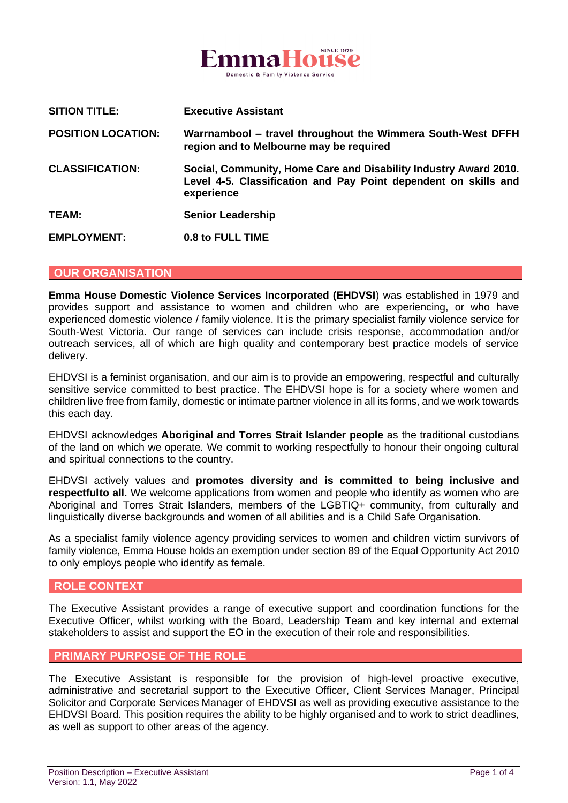

| <b>SITION TITLE:</b>      | <b>Executive Assistant</b>                                                                                                                        |
|---------------------------|---------------------------------------------------------------------------------------------------------------------------------------------------|
| <b>POSITION LOCATION:</b> | Warrnambool - travel throughout the Wimmera South-West DFFH<br>region and to Melbourne may be required                                            |
| <b>CLASSIFICATION:</b>    | Social, Community, Home Care and Disability Industry Award 2010.<br>Level 4-5. Classification and Pay Point dependent on skills and<br>experience |
| TEAM:                     | <b>Senior Leadership</b>                                                                                                                          |
| <b>EMPLOYMENT:</b>        | 0.8 to FULL TIME                                                                                                                                  |

#### **OUR ORGANISATION**

**Emma House Domestic Violence Services Incorporated (EHDVSI**) was established in 1979 and provides support and assistance to women and children who are experiencing, or who have experienced domestic violence / family violence. It is the primary specialist family violence service for South-West Victoria. Our range of services can include crisis response, accommodation and/or outreach services, all of which are high quality and contemporary best practice models of service delivery.

EHDVSI is a feminist organisation, and our aim is to provide an empowering, respectful and culturally sensitive service committed to best practice. The EHDVSI hope is for a society where women and children live free from family, domestic or intimate partner violence in all its forms, and we work towards this each day.

EHDVSI acknowledges **Aboriginal and Torres Strait Islander people** as the traditional custodians of the land on which we operate. We commit to working respectfully to honour their ongoing cultural and spiritual connections to the country.

EHDVSI actively values and **promotes diversity and is committed to being inclusive and respectfulto all.** We welcome applications from women and people who identify as women who are Aboriginal and Torres Strait Islanders, members of the LGBTIQ+ community, from culturally and linguistically diverse backgrounds and women of all abilities and is a Child Safe Organisation.

As a specialist family violence agency providing services to women and children victim survivors of family violence, Emma House holds an exemption under section 89 of the Equal Opportunity Act 2010 to only employs people who identify as female.

### **ROLE CONTEXT**

The Executive Assistant provides a range of executive support and coordination functions for the Executive Officer, whilst working with the Board, Leadership Team and key internal and external stakeholders to assist and support the EO in the execution of their role and responsibilities.

### **PRIMARY PURPOSE OF THE ROLE**

The Executive Assistant is responsible for the provision of high-level proactive executive, administrative and secretarial support to the Executive Officer, Client Services Manager, Principal Solicitor and Corporate Services Manager of EHDVSI as well as providing executive assistance to the EHDVSI Board. This position requires the ability to be highly organised and to work to strict deadlines, as well as support to other areas of the agency.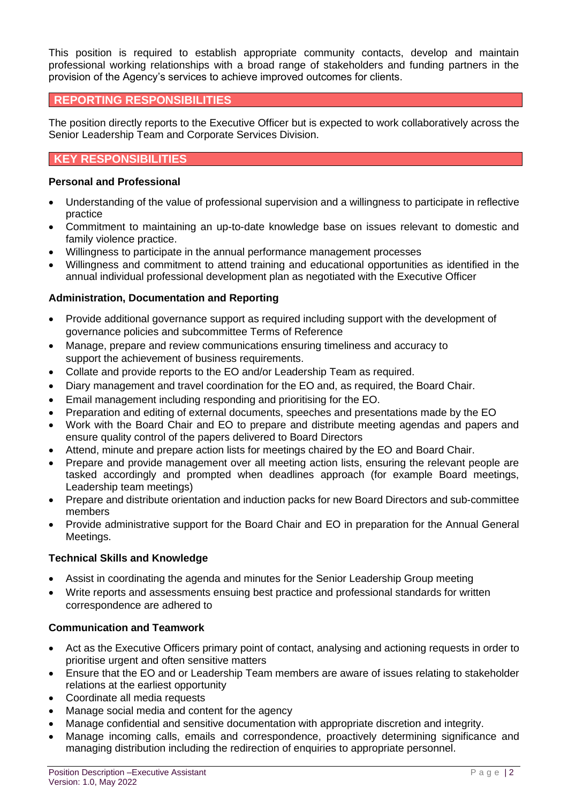This position is required to establish appropriate community contacts, develop and maintain professional working relationships with a broad range of stakeholders and funding partners in the provision of the Agency's services to achieve improved outcomes for clients.

# **REPORTING RESPONSIBILITIES**

The position directly reports to the Executive Officer but is expected to work collaboratively across the Senior Leadership Team and Corporate Services Division.

# **KEY RESPONSIBILITIES**

### **Personal and Professional**

- Understanding of the value of professional supervision and a willingness to participate in reflective practice
- Commitment to maintaining an up-to-date knowledge base on issues relevant to domestic and family violence practice.
- Willingness to participate in the annual performance management processes
- Willingness and commitment to attend training and educational opportunities as identified in the annual individual professional development plan as negotiated with the Executive Officer

## **Administration, Documentation and Reporting**

- Provide additional governance support as required including support with the development of governance policies and subcommittee Terms of Reference
- Manage, prepare and review communications ensuring timeliness and accuracy to support the achievement of business requirements.
- Collate and provide reports to the EO and/or Leadership Team as required.
- Diary management and travel coordination for the EO and, as required, the Board Chair.
- Email management including responding and prioritising for the EO.
- Preparation and editing of external documents, speeches and presentations made by the EO
- Work with the Board Chair and EO to prepare and distribute meeting agendas and papers and ensure quality control of the papers delivered to Board Directors
- Attend, minute and prepare action lists for meetings chaired by the EO and Board Chair.
- Prepare and provide management over all meeting action lists, ensuring the relevant people are tasked accordingly and prompted when deadlines approach (for example Board meetings, Leadership team meetings)
- Prepare and distribute orientation and induction packs for new Board Directors and sub-committee members
- Provide administrative support for the Board Chair and EO in preparation for the Annual General Meetings.

## **Technical Skills and Knowledge**

- Assist in coordinating the agenda and minutes for the Senior Leadership Group meeting
- Write reports and assessments ensuing best practice and professional standards for written correspondence are adhered to

## **Communication and Teamwork**

- Act as the Executive Officers primary point of contact, analysing and actioning requests in order to prioritise urgent and often sensitive matters
- Ensure that the EO and or Leadership Team members are aware of issues relating to stakeholder relations at the earliest opportunity
- Coordinate all media requests
- Manage social media and content for the agency
- Manage confidential and sensitive documentation with appropriate discretion and integrity.
- Manage incoming calls, emails and correspondence, proactively determining significance and managing distribution including the redirection of enquiries to appropriate personnel.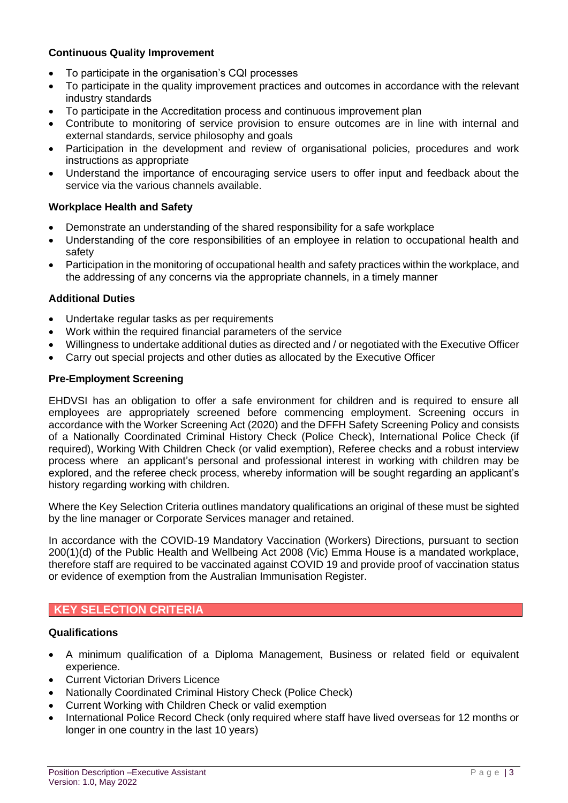# **Continuous Quality Improvement**

- To participate in the organisation's CQI processes
- To participate in the quality improvement practices and outcomes in accordance with the relevant industry standards
- To participate in the Accreditation process and continuous improvement plan
- Contribute to monitoring of service provision to ensure outcomes are in line with internal and external standards, service philosophy and goals
- Participation in the development and review of organisational policies, procedures and work instructions as appropriate
- Understand the importance of encouraging service users to offer input and feedback about the service via the various channels available.

# **Workplace Health and Safety**

- Demonstrate an understanding of the shared responsibility for a safe workplace
- Understanding of the core responsibilities of an employee in relation to occupational health and safety
- Participation in the monitoring of occupational health and safety practices within the workplace, and the addressing of any concerns via the appropriate channels, in a timely manner

## **Additional Duties**

- Undertake regular tasks as per requirements
- Work within the required financial parameters of the service
- Willingness to undertake additional duties as directed and / or negotiated with the Executive Officer
- Carry out special projects and other duties as allocated by the Executive Officer

## **Pre-Employment Screening**

EHDVSI has an obligation to offer a safe environment for children and is required to ensure all employees are appropriately screened before commencing employment. Screening occurs in accordance with the Worker Screening Act (2020) and the DFFH Safety Screening Policy and consists of a Nationally Coordinated Criminal History Check (Police Check), International Police Check (if required), Working With Children Check (or valid exemption), Referee checks and a robust interview process where an applicant's personal and professional interest in working with children may be explored, and the referee check process, whereby information will be sought regarding an applicant's history regarding working with children.

Where the Key Selection Criteria outlines mandatory qualifications an original of these must be sighted by the line manager or Corporate Services manager and retained.

In accordance with the COVID-19 Mandatory Vaccination (Workers) Directions, pursuant to section 200(1)(d) of the Public Health and Wellbeing Act 2008 (Vic) Emma House is a mandated workplace, therefore staff are required to be vaccinated against COVID 19 and provide proof of vaccination status or evidence of exemption from the Australian Immunisation Register.

# **KEY SELECTION CRITERIA**

# **Qualifications**

- A minimum qualification of a Diploma Management, Business or related field or equivalent experience.
- Current Victorian Drivers Licence
- Nationally Coordinated Criminal History Check (Police Check)
- Current Working with Children Check or valid exemption
- International Police Record Check (only required where staff have lived overseas for 12 months or longer in one country in the last 10 years)